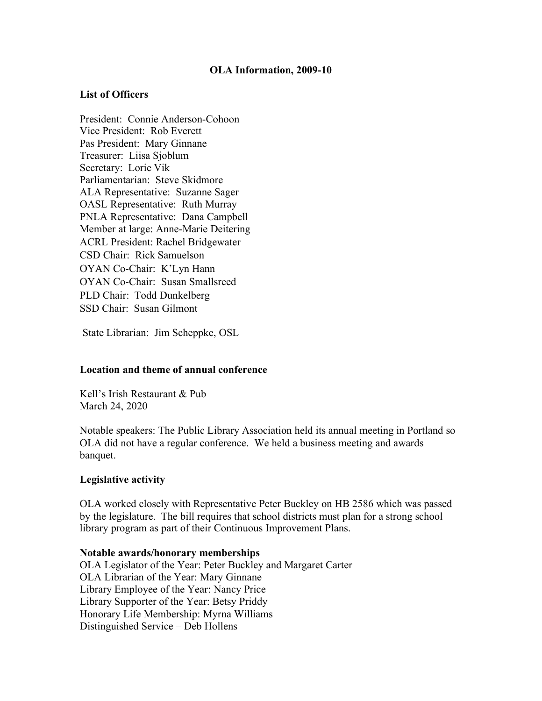# **OLA Information, 2009-10**

# **List of Officers**

President: Connie Anderson-Cohoon Vice President: Rob Everett Pas President: Mary Ginnane Treasurer: Liisa Sjoblum Secretary: Lorie Vik Parliamentarian: Steve Skidmore ALA Representative: Suzanne Sager OASL Representative: Ruth Murray PNLA Representative: Dana Campbell Member at large: Anne-Marie Deitering ACRL President: Rachel Bridgewater CSD Chair: Rick Samuelson OYAN Co-Chair: K'Lyn Hann OYAN Co-Chair: Susan Smallsreed PLD Chair: Todd Dunkelberg SSD Chair: Susan Gilmont

State Librarian: Jim Scheppke, OSL

### **Location and theme of annual conference**

Kell's Irish Restaurant & Pub March 24, 2020

Notable speakers: The Public Library Association held its annual meeting in Portland so OLA did not have a regular conference. We held a business meeting and awards banquet.

### **Legislative activity**

OLA worked closely with Representative Peter Buckley on HB 2586 which was passed by the legislature. The bill requires that school districts must plan for a strong school library program as part of their Continuous Improvement Plans.

#### **Notable awards/honorary memberships**

OLA Legislator of the Year: Peter Buckley and Margaret Carter OLA Librarian of the Year: Mary Ginnane Library Employee of the Year: Nancy Price Library Supporter of the Year: Betsy Priddy Honorary Life Membership: Myrna Williams Distinguished Service – Deb Hollens